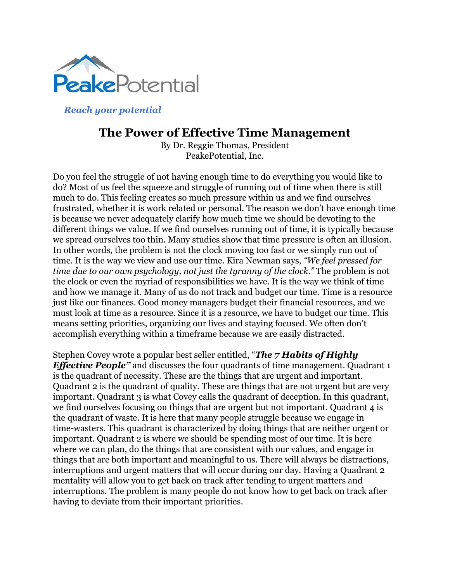

*Reach your potential*

## **The Power of Effective Time Management**

By Dr. Reggie Thomas, President PeakePotential, Inc.

Do you feel the struggle of not having enough time to do everything you would like to do? Most of us feel the squeeze and struggle of running out of time when there is still much to do. This feeling creates so much pressure within us and we find ourselves frustrated, whether it is work related or personal. The reason we don't have enough time is because we never adequately clarify how much time we should be devoting to the different things we value. If we find ourselves running out of time, it is typically because we spread ourselves too thin. Many studies show that time pressure is often an illusion. In other words, the problem is not the clock moving too fast or we simply run out of time. It is the way we view and use our time. Kira Newman says, *"We feel pressed for time due to our own psychology, not just the tyranny of the clock."* The problem is not the clock or even the myriad of responsibilities we have. It is the way we think of time and how we manage it. Many of us do not track and budget our time. Time is a resource just like our finances. Good money managers budget their financial resources, and we must look at time as a resource. Since it is a resource, we have to budget our time. This means setting priorities, organizing our lives and staying focused. We often don't accomplish everything within a timeframe because we are easily distracted.

Stephen Covey wrote a popular best seller entitled, "*The 7 Habits of Highly Effective People* and discusses the four quadrants of time management. Quadrant 1 is the quadrant of necessity. These are the things that are urgent and important. Quadrant 2 is the quadrant of quality. These are things that are not urgent but are very important. Quadrant 3 is what Covey calls the quadrant of deception. In this quadrant, we find ourselves focusing on things that are urgent but not important. Quadrant 4 is the quadrant of waste. It is here that many people struggle because we engage in time-wasters. This quadrant is characterized by doing things that are neither urgent or important. Quadrant 2 is where we should be spending most of our time. It is here where we can plan, do the things that are consistent with our values, and engage in things that are both important and meaningful to us. There will always be distractions, interruptions and urgent matters that will occur during our day. Having a Quadrant 2 mentality will allow you to get back on track after tending to urgent matters and interruptions. The problem is many people do not know how to get back on track after having to deviate from their important priorities.